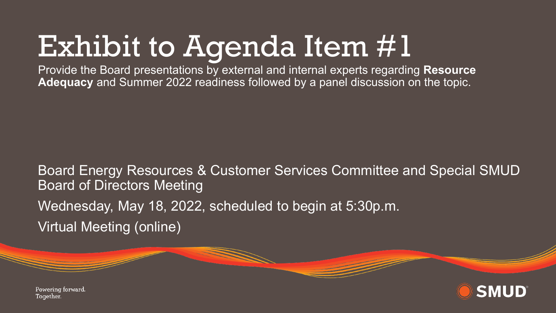# Exhibit to Agenda Item  $\#1$

Provide the Board presentations by external and internal experts regarding **Resource Adequacy** and Summer 2022 readiness followed by a panel discussion on the topic.

Board Energy Resources & Customer Services Committee and Special SMUD Board of Directors Meeting Wednesday, May 18, 2022, scheduled to begin at 5:30p.m. Virtual Meeting (online)



Powering forward. Together.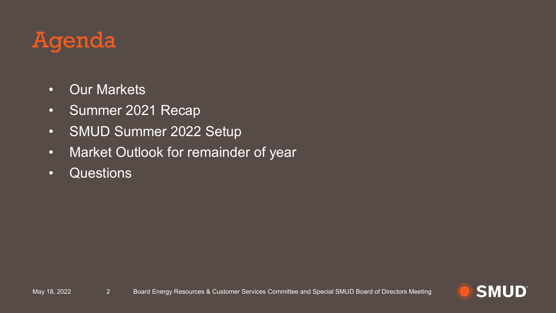## Agenda

- Our Markets
- Summer 2021 Recap
- SMUD Summer 2022 Setup
- Market Outlook for remainder of year
- Questions

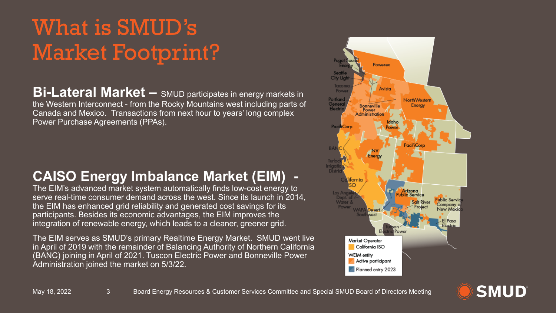## What is SMUD's Market Footprint?

**Bi-Lateral Market –** SMUD participates in energy markets in the Western Interconnect - from the Rocky Mountains west including parts of Canada and Mexico. Transactions from next hour to years' long complex Power Purchase Agreements (PPAs).

### **CAISO Energy Imbalance Market (EIM) -**

The EIM's advanced market system automatically finds low-cost energy to serve real-time consumer demand across the west. Since its launch in 2014, the EIM has enhanced grid reliability and generated cost savings for its participants. Besides its economic advantages, the EIM improves the integration of renewable energy, which leads to a cleaner, greener grid.

The EIM serves as SMUD's primary Realtime Energy Market. SMUD went live in April of 2019 with the remainder of Balancing Authority of Northern California (BANC) joining in April of 2021. Tuscon Electric Power and Bonneville Power Administration joined the market on 5/3/22.



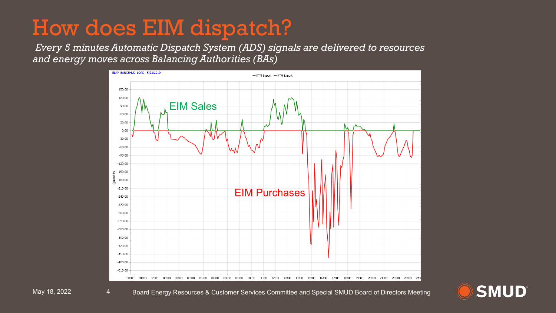### How does EIM dispatch?

*Every 5 minutes Automatic Dispatch System (ADS) signals are delivered to resources and energy moves across Balancing Authorities (BAs)*





Board Energy Resources & Customer Services Committee and Special SMUD Board of Directors Meeting

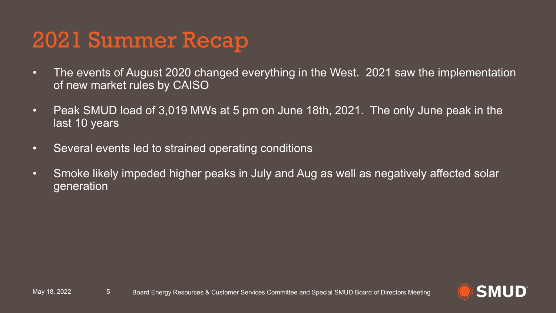## 2021 Summer Recap

- The events of August 2020 changed everything in the West. 2021 saw the implementation of new market rules by CAISO
- Peak SMUD load of 3,019 MWs at 5 pm on June 18th, 2021. The only June peak in the last 10 years
- Several events led to strained operating conditions
- Smoke likely impeded higher peaks in July and Aug as well as negatively affected solar generation

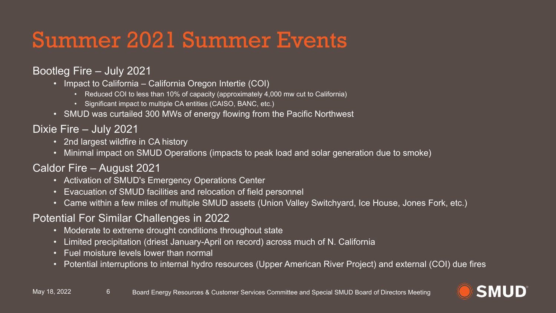## Summer 2021 Summer Events

#### Bootleg Fire – July 2021

- Impact to California California Oregon Intertie (COI)
	- Reduced COI to less than 10% of capacity (approximately 4,000 mw cut to California)
	- Significant impact to multiple CA entities (CAISO, BANC, etc.)
- SMUD was curtailed 300 MWs of energy flowing from the Pacific Northwest

#### Dixie Fire – July 2021

- 2nd largest wildfire in CA history
- Minimal impact on SMUD Operations (impacts to peak load and solar generation due to smoke)
- Caldor Fire August 2021
	- Activation of SMUD's Emergency Operations Center
	- Evacuation of SMUD facilities and relocation of field personnel
	- Came within a few miles of multiple SMUD assets (Union Valley Switchyard, Ice House, Jones Fork, etc.)

#### Potential For Similar Challenges in 2022

- Moderate to extreme drought conditions throughout state
- Limited precipitation (driest January-April on record) across much of N. California
- Fuel moisture levels lower than normal
- Potential interruptions to internal hydro resources (Upper American River Project) and external (COI) due fires

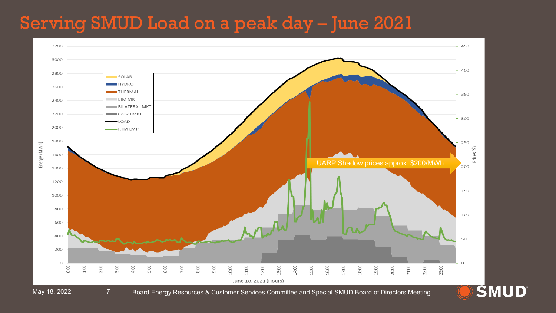### Serving SMUD Load on a peak day – June 2021



May 18, 2022 7 Board Energy Resources & Customer Services Committee and Special SMUD Board of Directors Meeting

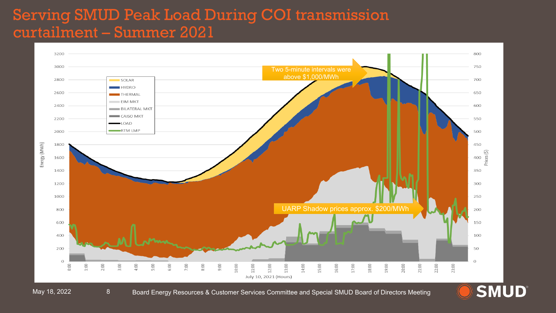### Serving SMUD Peak Load During COI transmission curtailment – Summer 2021



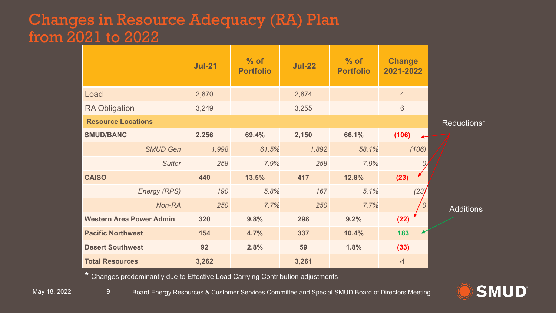### Changes in Resource Adequacy (RA) Plan from 2021 to 2022

|                                 | <b>Jul-21</b> | $%$ of<br><b>Portfolio</b> | <b>Jul-22</b> | $%$ of<br><b>Portfolio</b> | <b>Change</b><br>2021-2022 |                  |
|---------------------------------|---------------|----------------------------|---------------|----------------------------|----------------------------|------------------|
| Load                            | 2,870         |                            | 2,874         |                            | $\overline{4}$             |                  |
| <b>RA Obligation</b>            | 3,249         |                            | 3,255         |                            | $6\phantom{1}$             |                  |
| <b>Resource Locations</b>       |               |                            |               |                            |                            | Reductions*      |
| <b>SMUD/BANC</b>                | 2,256         | 69.4%                      | 2,150         | 66.1%                      | (106)                      |                  |
| <b>SMUD Gen</b>                 | 1,998         | 61.5%                      | 1,892         | 58.1%                      | (106)                      |                  |
| <b>Sutter</b>                   | 258           | 7.9%                       | 258           | 7.9%                       |                            |                  |
| <b>CAISO</b>                    | 440           | 13.5%                      | 417           | 12.8%                      | (23)                       |                  |
| <b>Energy (RPS)</b>             | 190           | 5.8%                       | 167           | 5.1%                       | (23)                       |                  |
| Non-RA                          | 250           | 7.7%                       | 250           | 7.7%                       |                            | <b>Additions</b> |
| <b>Western Area Power Admin</b> | 320           | 9.8%                       | 298           | 9.2%                       | (22)                       |                  |
| <b>Pacific Northwest</b>        | 154           | 4.7%                       | 337           | 10.4%                      | 183                        |                  |
| <b>Desert Southwest</b>         | 92            | 2.8%                       | 59            | 1.8%                       | (33)                       |                  |
| <b>Total Resources</b>          | 3,262         |                            | 3,261         |                            | $-1$                       |                  |

**\*** Changes predominantly due to Effective Load Carrying Contribution adjustments

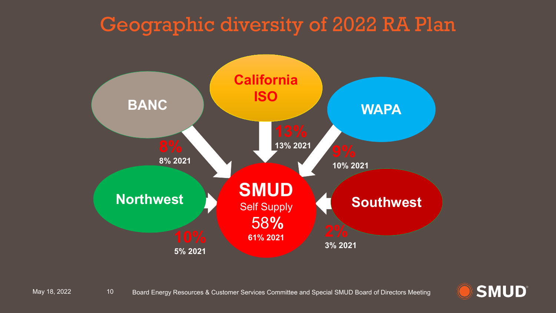### Geographic diversity of 2022 RA Plan



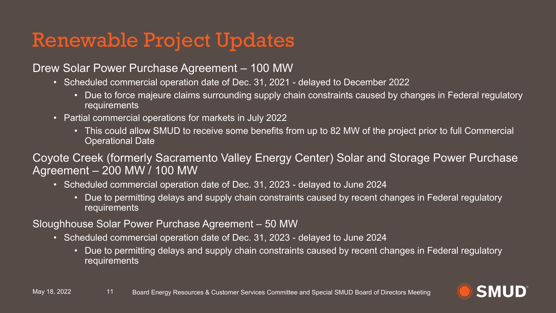### Renewable Project Updates

#### Drew Solar Power Purchase Agreement – 100 MW

- Scheduled commercial operation date of Dec. 31, 2021 delayed to December 2022
	- Due to force majeure claims surrounding supply chain constraints caused by changes in Federal regulatory **requirements**
- Partial commercial operations for markets in July 2022
	- This could allow SMUD to receive some benefits from up to 82 MW of the project prior to full Commercial Operational Date

Coyote Creek (formerly Sacramento Valley Energy Center) Solar and Storage Power Purchase Agreement – 200 MW / 100 MW

- Scheduled commercial operation date of Dec. 31, 2023 delayed to June 2024
	- Due to permitting delays and supply chain constraints caused by recent changes in Federal regulatory requirements
- Sloughhouse Solar Power Purchase Agreement 50 MW
	- Scheduled commercial operation date of Dec. 31, 2023 delayed to June 2024
		- Due to permitting delays and supply chain constraints caused by recent changes in Federal regulatory requirements

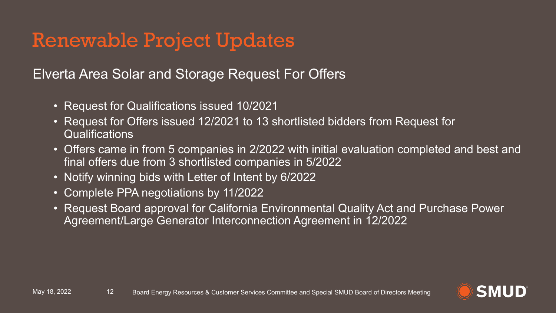### Renewable Project Updates

Elverta Area Solar and Storage Request For Offers

- Request for Qualifications issued 10/2021
- Request for Offers issued 12/2021 to 13 shortlisted bidders from Request for **Qualifications**
- Offers came in from 5 companies in 2/2022 with initial evaluation completed and best and final offers due from 3 shortlisted companies in 5/2022
- Notify winning bids with Letter of Intent by 6/2022
- Complete PPA negotiations by 11/2022
- Request Board approval for California Environmental Quality Act and Purchase Power Agreement/Large Generator Interconnection Agreement in 12/2022

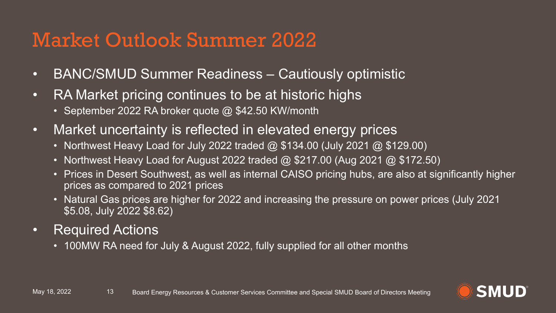### Market Outlook Summer 2022

- BANC/SMUD Summer Readiness Cautiously optimistic
- RA Market pricing continues to be at historic highs
	- September 2022 RA broker quote @ \$42.50 KW/month
- Market uncertainty is reflected in elevated energy prices
	- Northwest Heavy Load for July 2022 traded  $@$  \$134.00 (July 2021  $@$  \$129.00)
	- Northwest Heavy Load for August 2022 traded  $@$  \$217.00 (Aug 2021  $@$  \$172.50)
	- Prices in Desert Southwest, as well as internal CAISO pricing hubs, are also at significantly higher prices as compared to 2021 prices
	- Natural Gas prices are higher for 2022 and increasing the pressure on power prices (July 2021 \$5.08, July 2022 \$8.62)
- Required Actions
	- 100MW RA need for July & August 2022, fully supplied for all other months

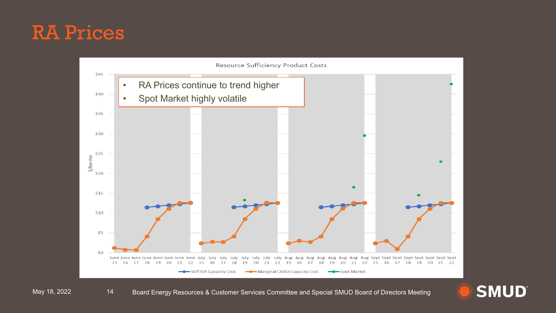### RA Prices



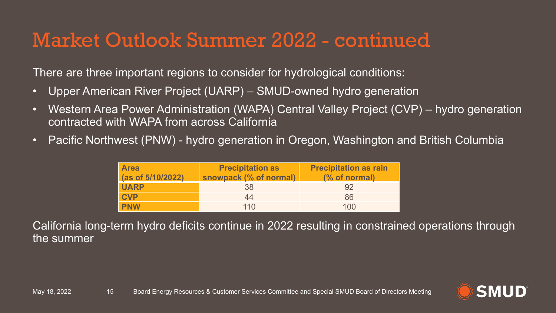### Market Outlook Summer 2022 - continued

There are three important regions to consider for hydrological conditions:

- Upper American River Project (UARP) SMUD-owned hydro generation
- Western Area Power Administration (WAPA) Central Valley Project (CVP) hydro generation contracted with WAPA from across California
- Pacific Northwest (PNW) hydro generation in Oregon, Washington and British Columbia

| <b>Area</b>       | <b>Precipitation as</b> | <b>Precipitation as rain</b> |
|-------------------|-------------------------|------------------------------|
| (as of 5/10/2022) | snowpack (% of normal)  | (% of normal)                |
| <b>UARP</b>       | 38                      | 92                           |
| <b>CVP</b>        | 44                      | 86                           |
| <b>PNW</b>        | 110                     | 100                          |

California long-term hydro deficits continue in 2022 resulting in constrained operations through the summer

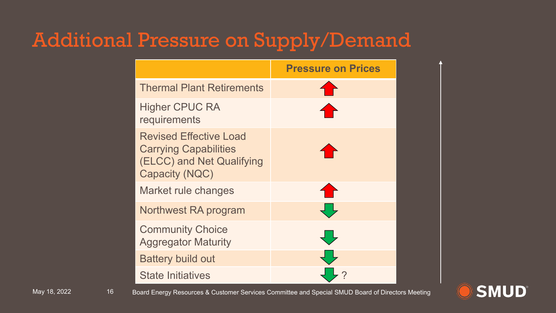### Additional Pressure on Supply/Demand

|                                                                                                                     | <b>Pressure on Prices</b> |
|---------------------------------------------------------------------------------------------------------------------|---------------------------|
| <b>Thermal Plant Retirements</b>                                                                                    |                           |
| <b>Higher CPUC RA</b><br>requirements                                                                               |                           |
| <b>Revised Effective Load</b><br><b>Carrying Capabilities</b><br>(ELCC) and Net Qualifying<br><b>Capacity (NQC)</b> |                           |
| Market rule changes                                                                                                 |                           |
| Northwest RA program                                                                                                |                           |
| <b>Community Choice</b><br><b>Aggregator Maturity</b>                                                               |                           |
| <b>Battery build out</b>                                                                                            |                           |
| <b>State Initiatives</b>                                                                                            |                           |